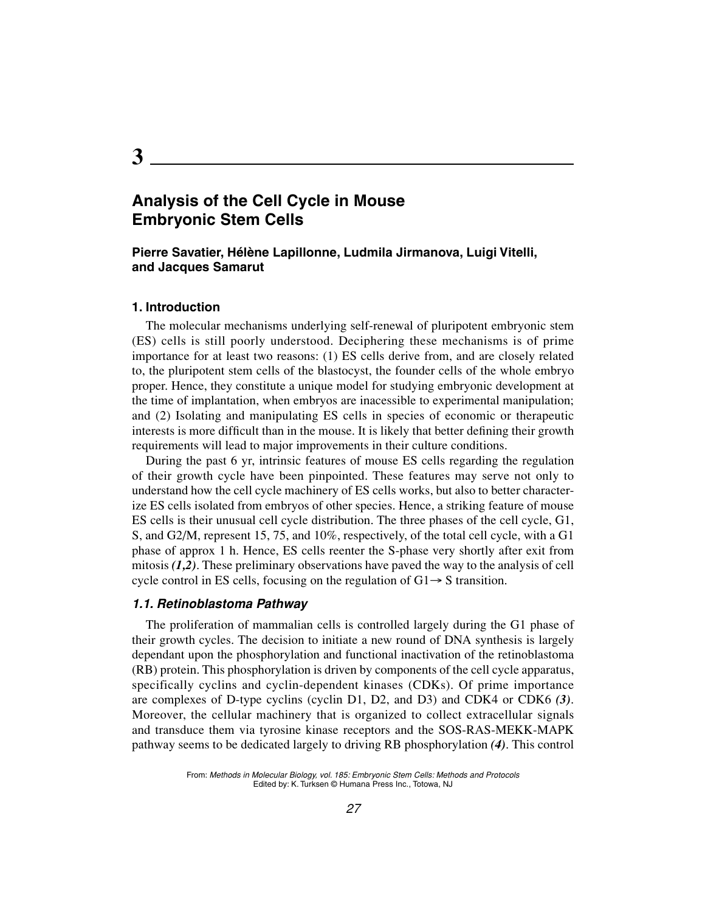# **Analysis of the Cell Cycle in Mouse Embryonic Stem Cells**

#### **Pierre Savatier, Hélène Lapillonne, Ludmila Jirmanova, Luigi Vitelli, and Jacques Samarut**

#### **1. Introduction**

The molecular mechanisms underlying self-renewal of pluripotent embryonic stem (ES) cells is still poorly understood. Deciphering these mechanisms is of prime importance for at least two reasons: (1) ES cells derive from, and are closely related to, the pluripotent stem cells of the blastocyst, the founder cells of the whole embryo proper. Hence, they constitute a unique model for studying embryonic development at the time of implantation, when embryos are inacessible to experimental manipulation; and (2) Isolating and manipulating ES cells in species of economic or therapeutic interests is more difficult than in the mouse. It is likely that better defining their growth requirements will lead to major improvements in their culture conditions.

During the past 6 yr, intrinsic features of mouse ES cells regarding the regulation of their growth cycle have been pinpointed. These features may serve not only to understand how the cell cycle machinery of ES cells works, but also to better characterize ES cells isolated from embryos of other species. Hence, a striking feature of mouse ES cells is their unusual cell cycle distribution. The three phases of the cell cycle, G1, S, and G2/M, represent 15, 75, and 10%, respectively, of the total cell cycle, with a G1 phase of approx 1 h. Hence, ES cells reenter the S-phase very shortly after exit from mitosis *(1,2)*. These preliminary observations have paved the way to the analysis of cell cycle control in ES cells, focusing on the regulation of  $G1 \rightarrow S$  transition.

#### **1.1. Retinoblastoma Pathway**

The proliferation of mammalian cells is controlled largely during the G1 phase of their growth cycles. The decision to initiate a new round of DNA synthesis is largely dependant upon the phosphorylation and functional inactivation of the retinoblastoma (RB) protein. This phosphorylation is driven by components of the cell cycle apparatus, specifically cyclins and cyclin-dependent kinases (CDKs). Of prime importance are complexes of D-type cyclins (cyclin D1, D2, and D3) and CDK4 or CDK6 *(3)*. Moreover, the cellular machinery that is organized to collect extracellular signals and transduce them via tyrosine kinase receptors and the SOS-RAS-MEKK-MAPK pathway seems to be dedicated largely to driving RB phosphorylation *(4)*. This control

**3**

From: Methods in Molecular Biology, vol. 185: Embryonic Stem Cells: Methods and Protocols Edited by: K. Turksen © Humana Press Inc., Totowa, NJ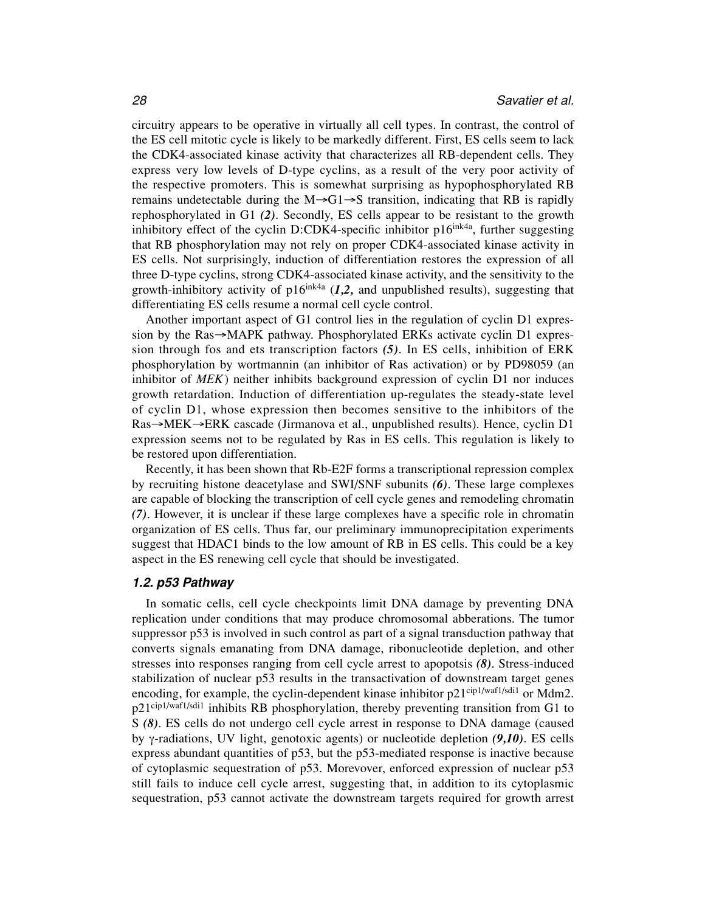circuitry appears to be operative in virtually all cell types. In contrast, the control of the ES cell mitotic cycle is likely to be markedly different. First, ES cells seem to lack the CDK4-associated kinase activity that characterizes all RB-dependent cells. They express very low levels of D-type cyclins, as a result of the very poor activity of the respective promoters. This is somewhat surprising as hypophosphorylated RB remains undetectable during the  $M\rightarrow G1\rightarrow S$  transition, indicating that RB is rapidly rephosphorylated in G1 *(2)*. Secondly, ES cells appear to be resistant to the growth inhibitory effect of the cyclin D:CDK4-specific inhibitor  $p16^{ink4a}$ , further suggesting that RB phosphorylation may not rely on proper CDK4-associated kinase activity in ES cells. Not surprisingly, induction of differentiation restores the expression of all three D-type cyclins, strong CDK4-associated kinase activity, and the sensitivity to the growth-inhibitory activity of  $p16^{ink4a}$  ( $1,2$ , and unpublished results), suggesting that differentiating ES cells resume a normal cell cycle control.

Another important aspect of G1 control lies in the regulation of cyclin D1 expression by the  $Ras \rightarrow MAPK$  pathway. Phosphorylated ERKs activate cyclin D1 expression through fos and ets transcription factors *(5)*. In ES cells, inhibition of ERK phosphorylation by wortmannin (an inhibitor of Ras activation) or by PD98059 (an inhibitor of *MEK*) neither inhibits background expression of cyclin D1 nor induces growth retardation. Induction of differentiation up-regulates the steady-state level of cyclin D1, whose expression then becomes sensitive to the inhibitors of the  $Ras \rightarrow MEK \rightarrow ERK$  cascade (Jirmanova et al., unpublished results). Hence, cyclin D1 expression seems not to be regulated by Ras in ES cells. This regulation is likely to be restored upon differentiation.

Recently, it has been shown that Rb-E2F forms a transcriptional repression complex by recruiting histone deacetylase and SWI/SNF subunits *(6)*. These large complexes are capable of blocking the transcription of cell cycle genes and remodeling chromatin *(7)*. However, it is unclear if these large complexes have a specific role in chromatin organization of ES cells. Thus far, our preliminary immunoprecipitation experiments suggest that HDAC1 binds to the low amount of RB in ES cells. This could be a key aspect in the ES renewing cell cycle that should be investigated.

#### **1.2. p53 Pathway**

In somatic cells, cell cycle checkpoints limit DNA damage by preventing DNA replication under conditions that may produce chromosomal abberations. The tumor suppressor p53 is involved in such control as part of a signal transduction pathway that converts signals emanating from DNA damage, ribonucleotide depletion, and other stresses into responses ranging from cell cycle arrest to apopotsis *(8)*. Stress-induced stabilization of nuclear p53 results in the transactivation of downstream target genes encoding, for example, the cyclin-dependent kinase inhibitor p21<sup>cip1/waf1/sdi1</sup> or Mdm2. p21cip1/waf1/sdi1 inhibits RB phosphorylation, thereby preventing transition from G1 to S *(8)*. ES cells do not undergo cell cycle arrest in response to DNA damage (caused by  $\gamma$ -radiations, UV light, genotoxic agents) or nucleotide depletion *(9,10)*. ES cells express abundant quantities of p53, but the p53-mediated response is inactive because of cytoplasmic sequestration of p53. Morevover, enforced expression of nuclear p53 still fails to induce cell cycle arrest, suggesting that, in addition to its cytoplasmic sequestration, p53 cannot activate the downstream targets required for growth arrest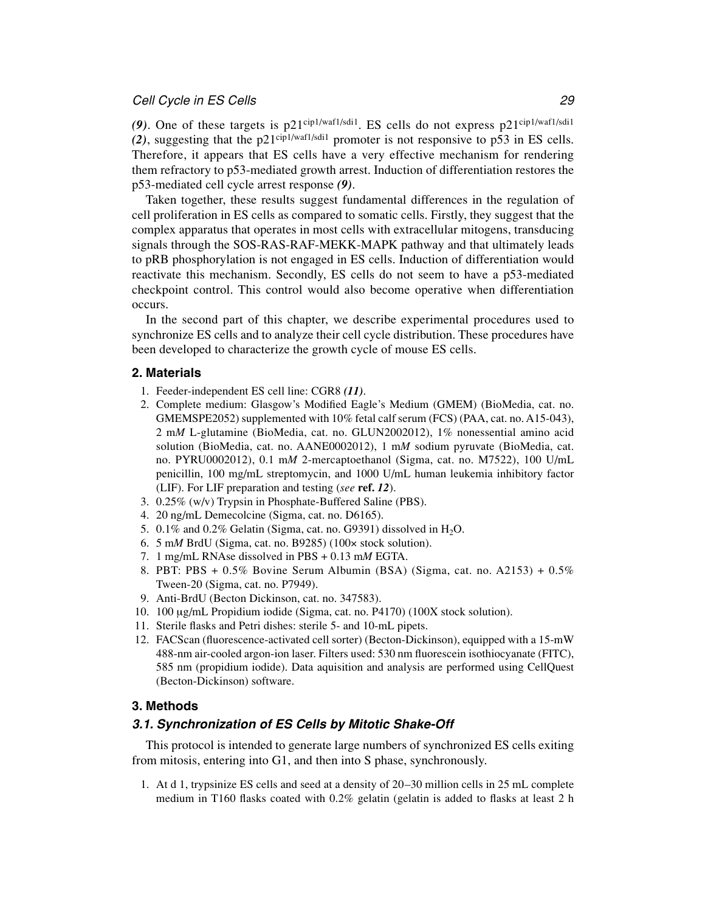#### Cell Cycle in ES Cells 29

(9). One of these targets is p21<sup>cip1/waf1/sdi1</sup>. ES cells do not express p21<sup>cip1/waf1/sdi1</sup> *(2)*, suggesting that the p21cip1/waf1/sdi1 promoter is not responsive to p53 in ES cells. Therefore, it appears that ES cells have a very effective mechanism for rendering them refractory to p53-mediated growth arrest. Induction of differentiation restores the p53-mediated cell cycle arrest response *(9)*.

Taken together, these results suggest fundamental differences in the regulation of cell proliferation in ES cells as compared to somatic cells. Firstly, they suggest that the complex apparatus that operates in most cells with extracellular mitogens, transducing signals through the SOS-RAS-RAF-MEKK-MAPK pathway and that ultimately leads to pRB phosphorylation is not engaged in ES cells. Induction of differentiation would reactivate this mechanism. Secondly, ES cells do not seem to have a p53-mediated checkpoint control. This control would also become operative when differentiation occurs.

In the second part of this chapter, we describe experimental procedures used to synchronize ES cells and to analyze their cell cycle distribution. These procedures have been developed to characterize the growth cycle of mouse ES cells.

### **2. Materials**

- 1. Feeder-independent ES cell line: CGR8 *(11)*.
- 2. Complete medium: Glasgow's Modified Eagle's Medium (GMEM) (BioMedia, cat. no. GMEMSPE2052) supplemented with 10% fetal calf serum (FCS) (PAA, cat. no. A15-043), 2 m*M* L-glutamine (BioMedia, cat. no. GLUN2002012), 1% nonessential amino acid solution (BioMedia, cat. no. AANE0002012), 1 m*M* sodium pyruvate (BioMedia, cat. no. PYRU0002012), 0.1 m*M* 2-mercaptoethanol (Sigma, cat. no. M7522), 100 U/mL penicillin, 100 mg/mL streptomycin, and 1000 U/mL human leukemia inhibitory factor (LIF). For LIF preparation and testing (*see* **ref.** *12*).
- 3. 0.25% (w/v) Trypsin in Phosphate-Buffered Saline (PBS).
- 4. 20 ng/mL Demecolcine (Sigma, cat. no. D6165).
- 5. 0.1% and 0.2% Gelatin (Sigma, cat. no. G9391) dissolved in  $H_2O$ .
- 6. 5 m*M* BrdU (Sigma, cat. no. B9285) (100× stock solution).
- 7. 1 mg/mL RNAse dissolved in PBS + 0.13 m*M* EGTA.
- 8. PBT: PBS + 0.5% Bovine Serum Albumin (BSA) (Sigma, cat. no. A2153) + 0.5% Tween-20 (Sigma, cat. no. P7949).
- 9. Anti-BrdU (Becton Dickinson, cat. no. 347583).
- 10. 100 μg/mL Propidium iodide (Sigma, cat. no. P4170) (100X stock solution).
- 11. Sterile flasks and Petri dishes: sterile 5- and 10-mL pipets.
- 12. FACScan (fluorescence-activated cell sorter) (Becton-Dickinson), equipped with a 15-mW 488-nm air-cooled argon-ion laser. Filters used: 530 nm fluorescein isothiocyanate (FITC), 585 nm (propidium iodide). Data aquisition and analysis are performed using CellQuest (Becton-Dickinson) software.

### **3. Methods**

# **3.1. Synchronization of ES Cells by Mitotic Shake-Off**

This protocol is intended to generate large numbers of synchronized ES cells exiting from mitosis, entering into G1, and then into S phase, synchronously.

1. At d 1, trypsinize ES cells and seed at a density of 20–30 million cells in 25 mL complete medium in T160 flasks coated with 0.2% gelatin (gelatin is added to flasks at least 2 h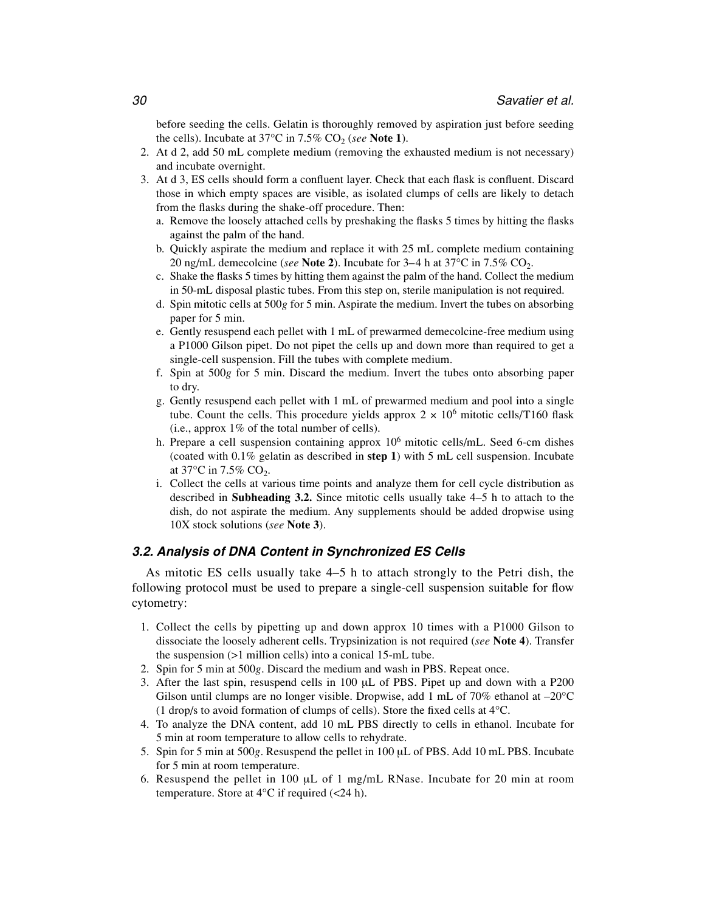before seeding the cells. Gelatin is thoroughly removed by aspiration just before seeding the cells). Incubate at 37 $\degree$ C in 7.5% CO<sub>2</sub> (*see* Note 1).

- 2. At d 2, add 50 mL complete medium (removing the exhausted medium is not necessary) and incubate overnight.
- 3. At d 3, ES cells should form a confluent layer. Check that each flask is confluent. Discard those in which empty spaces are visible, as isolated clumps of cells are likely to detach from the flasks during the shake-off procedure. Then:
	- a. Remove the loosely attached cells by preshaking the flasks 5 times by hitting the flasks against the palm of the hand.
	- b. Quickly aspirate the medium and replace it with 25 mL complete medium containing 20 ng/mL demecolcine (*see* **Note 2**). Incubate for  $3-4$  h at  $37^{\circ}$ C in  $7.5\%$  CO<sub>2</sub>.
	- c. Shake the flasks 5 times by hitting them against the palm of the hand. Collect the medium in 50-mL disposal plastic tubes. From this step on, sterile manipulation is not required.
	- d. Spin mitotic cells at 500*g* for 5 min. Aspirate the medium. Invert the tubes on absorbing paper for 5 min.
	- e. Gently resuspend each pellet with 1 mL of prewarmed demecolcine-free medium using a P1000 Gilson pipet. Do not pipet the cells up and down more than required to get a single-cell suspension. Fill the tubes with complete medium.
	- f. Spin at 500*g* for 5 min. Discard the medium. Invert the tubes onto absorbing paper to dry.
	- g. Gently resuspend each pellet with 1 mL of prewarmed medium and pool into a single tube. Count the cells. This procedure yields approx  $2 \times 10^6$  mitotic cells/T160 flask (i.e., approx  $1\%$  of the total number of cells).
	- h. Prepare a cell suspension containing approx  $10<sup>6</sup>$  mitotic cells/mL. Seed 6-cm dishes (coated with 0.1% gelatin as described in **step 1**) with 5 mL cell suspension. Incubate at  $37^{\circ}$ C in 7.5% CO<sub>2</sub>.
	- i. Collect the cells at various time points and analyze them for cell cycle distribution as described in **Subheading 3.2.** Since mitotic cells usually take 4–5 h to attach to the dish, do not aspirate the medium. Any supplements should be added dropwise using 10X stock solutions (*see* **Note 3**).

# **3.2. Analysis of DNA Content in Synchronized ES Cells**

As mitotic ES cells usually take 4–5 h to attach strongly to the Petri dish, the following protocol must be used to prepare a single-cell suspension suitable for flow cytometry:

- 1. Collect the cells by pipetting up and down approx 10 times with a P1000 Gilson to dissociate the loosely adherent cells. Trypsinization is not required (*see* **Note 4**). Transfer the suspension (>1 million cells) into a conical 15-mL tube.
- 2. Spin for 5 min at 500*g*. Discard the medium and wash in PBS. Repeat once.
- 3. After the last spin, resuspend cells in 100 μL of PBS. Pipet up and down with a P200 Gilson until clumps are no longer visible. Dropwise, add 1 mL of 70% ethanol at  $-20^{\circ}$ C (1 drop/s to avoid formation of clumps of cells). Store the fixed cells at 4°C.
- 4. To analyze the DNA content, add 10 mL PBS directly to cells in ethanol. Incubate for 5 min at room temperature to allow cells to rehydrate.
- 5. Spin for 5 min at 500*g*. Resuspend the pellet in 100 μL of PBS. Add 10 mL PBS. Incubate for 5 min at room temperature.
- 6. Resuspend the pellet in 100 μL of 1 mg/mL RNase. Incubate for 20 min at room temperature. Store at  $4^{\circ}$ C if required (<24 h).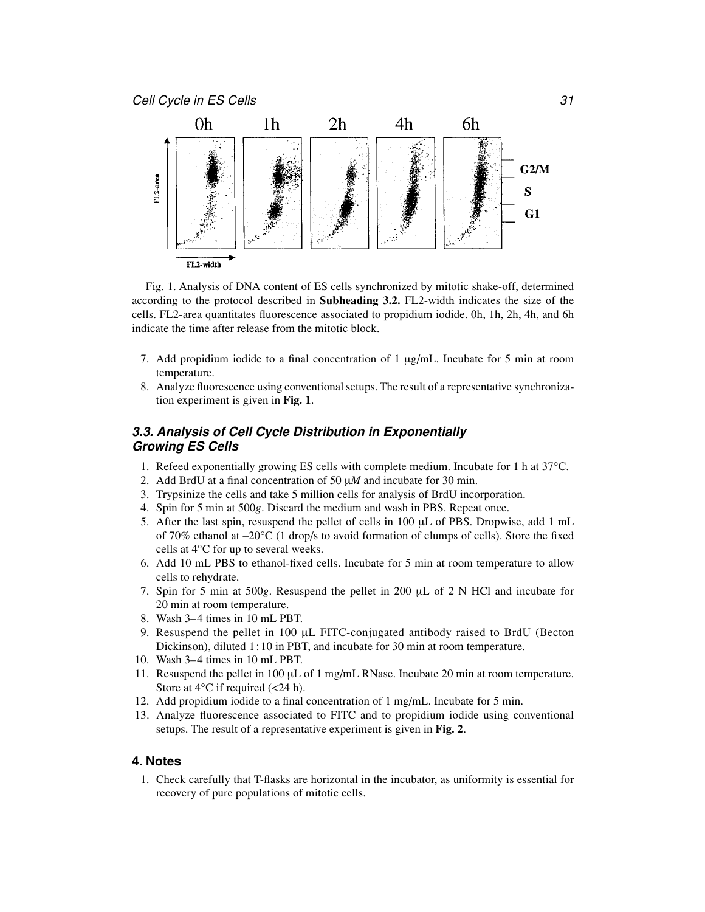

Fig. 1. Analysis of DNA content of ES cells synchronized by mitotic shake-off, determined according to the protocol described in **Subheading 3.2.** FL2-width indicates the size of the cells. FL2-area quantitates fluorescence associated to propidium iodide. 0h, 1h, 2h, 4h, and 6h indicate the time after release from the mitotic block.

- 7. Add propidium iodide to a final concentration of 1 μg/mL. Incubate for 5 min at room temperature.
- 8. Analyze fluorescence using conventional setups. The result of a representative synchronization experiment is given in **Fig. 1**.

### **3.3. Analysis of Cell Cycle Distribution in Exponentially Growing ES Cells**

- 1. Refeed exponentially growing ES cells with complete medium. Incubate for 1 h at 37°C.
- 2. Add BrdU at a final concentration of 50 μ*M* and incubate for 30 min.
- 3. Trypsinize the cells and take 5 million cells for analysis of BrdU incorporation.
- 4. Spin for 5 min at 500*g*. Discard the medium and wash in PBS. Repeat once.
- 5. After the last spin, resuspend the pellet of cells in 100 μL of PBS. Dropwise, add 1 mL of 70% ethanol at  $-20^{\circ}$ C (1 drop/s to avoid formation of clumps of cells). Store the fixed cells at 4°C for up to several weeks.
- 6. Add 10 mL PBS to ethanol-fixed cells. Incubate for 5 min at room temperature to allow cells to rehydrate.
- 7. Spin for 5 min at 500*g*. Resuspend the pellet in 200 μL of 2 N HCl and incubate for 20 min at room temperature.
- 8. Wash 3–4 times in 10 mL PBT.
- 9. Resuspend the pellet in 100 μL FITC-conjugated antibody raised to BrdU (Becton Dickinson), diluted 1:10 in PBT, and incubate for 30 min at room temperature.
- 10. Wash 3–4 times in 10 mL PBT.
- 11. Resuspend the pellet in 100 μL of 1 mg/mL RNase. Incubate 20 min at room temperature. Store at  $4^{\circ}$ C if required (<24 h).
- 12. Add propidium iodide to a final concentration of 1 mg/mL. Incubate for 5 min.
- 13. Analyze fluorescence associated to FITC and to propidium iodide using conventional setups. The result of a representative experiment is given in **Fig. 2**.

#### **4. Notes**

1. Check carefully that T-flasks are horizontal in the incubator, as uniformity is essential for recovery of pure populations of mitotic cells.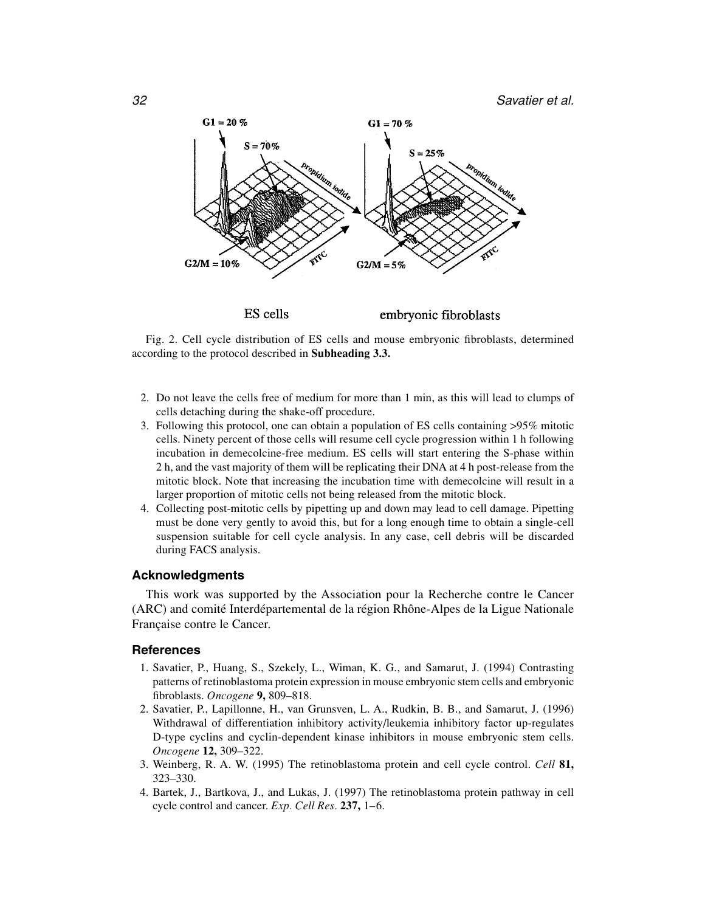

Fig. 2. Cell cycle distribution of ES cells and mouse embryonic fibroblasts, determined according to the protocol described in **Subheading 3.3.**

- 2. Do not leave the cells free of medium for more than 1 min, as this will lead to clumps of cells detaching during the shake-off procedure.
- 3. Following this protocol, one can obtain a population of ES cells containing >95% mitotic cells. Ninety percent of those cells will resume cell cycle progression within 1 h following incubation in demecolcine-free medium. ES cells will start entering the S-phase within 2 h, and the vast majority of them will be replicating their DNA at 4 h post-release from the mitotic block. Note that increasing the incubation time with demecolcine will result in a larger proportion of mitotic cells not being released from the mitotic block.
- 4. Collecting post-mitotic cells by pipetting up and down may lead to cell damage. Pipetting must be done very gently to avoid this, but for a long enough time to obtain a single-cell suspension suitable for cell cycle analysis. In any case, cell debris will be discarded during FACS analysis.

# **Acknowledgments**

This work was supported by the Association pour la Recherche contre le Cancer (ARC) and comité Interdépartemental de la région Rhône-Alpes de la Ligue Nationale Française contre le Cancer.

# **References**

- 1. Savatier, P., Huang, S., Szekely, L., Wiman, K. G., and Samarut, J. (1994) Contrasting patterns of retinoblastoma protein expression in mouse embryonic stem cells and embryonic fibroblasts. *Oncogene* **9,** 809–818.
- 2. Savatier, P., Lapillonne, H., van Grunsven, L. A., Rudkin, B. B., and Samarut, J. (1996) Withdrawal of differentiation inhibitory activity/leukemia inhibitory factor up-regulates D-type cyclins and cyclin-dependent kinase inhibitors in mouse embryonic stem cells. *Oncogene* **12,** 309–322.
- 3. Weinberg, R. A. W. (1995) The retinoblastoma protein and cell cycle control. *Cell* **81,** 323–330.
- 4. Bartek, J., Bartkova, J., and Lukas, J. (1997) The retinoblastoma protein pathway in cell cycle control and cancer. *Exp. Cell Res.* **237,** 1–6.